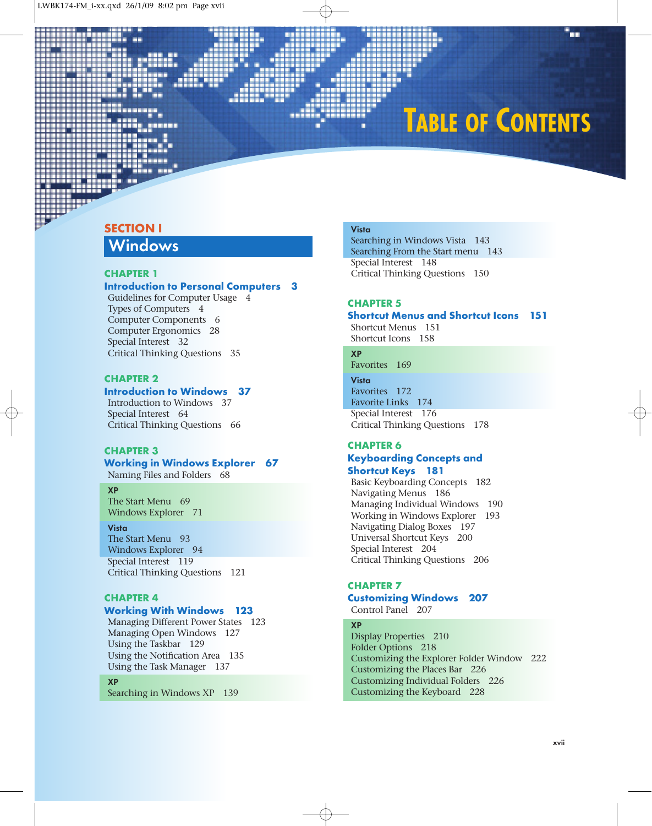# **TABLE OF CONTENTS**

a a

### SECTION I

## **Windows**

### CHAPTER 1

### Introduction to Personal Computers 3

Guidelines for Computer Usage 4 Types of Computers 4 Computer Components 6 Computer Ergonomics 28 Special Interest 32 Critical Thinking Questions 35

### CHAPTER 2

### Introduction to Windows 37

Introduction to Windows 37 Special Interest 64 Critical Thinking Questions 66

### CHAPTER 3

### Working in Windows Explorer 67

Naming Files and Folders 68

### **XP**

The Start Menu 69 Windows Explorer 71

#### **Vista**

The Start Menu 93 Windows Explorer 94 Special Interest 119 Critical Thinking Questions 121

### CHAPTER 4

### Working With Windows 123

Managing Different Power States 123 Managing Open Windows 127 Using the Taskbar 129 Using the Notification Area 135 Using the Task Manager 137

#### **XP**

Searching in Windows XP 139

### **Vista**

Searching in Windows Vista 143 Searching From the Start menu 143 Special Interest 148 Critical Thinking Questions 150

### CHAPTER 5

### Shortcut Menus and Shortcut Icons 151

Shortcut Menus 151 Shortcut Icons 158

### **XP**

Favorites 169 **Vista**

Favorites 172 Favorite Links 174 Special Interest 176 Critical Thinking Questions 178

### CHAPTER 6 Keyboarding Concepts and Shortcut Keys 181

Basic Keyboarding Concepts 182 Navigating Menus 186 Managing Individual Windows 190 Working in Windows Explorer 193 Navigating Dialog Boxes 197 Universal Shortcut Keys 200 Special Interest 204 Critical Thinking Questions 206

### CHAPTER 7

### Customizing Windows 207 Control Panel 207

#### **XP**

Display Properties 210 Folder Options 218 Customizing the Explorer Folder Window 222 Customizing the Places Bar 226 Customizing Individual Folders 226 Customizing the Keyboard 228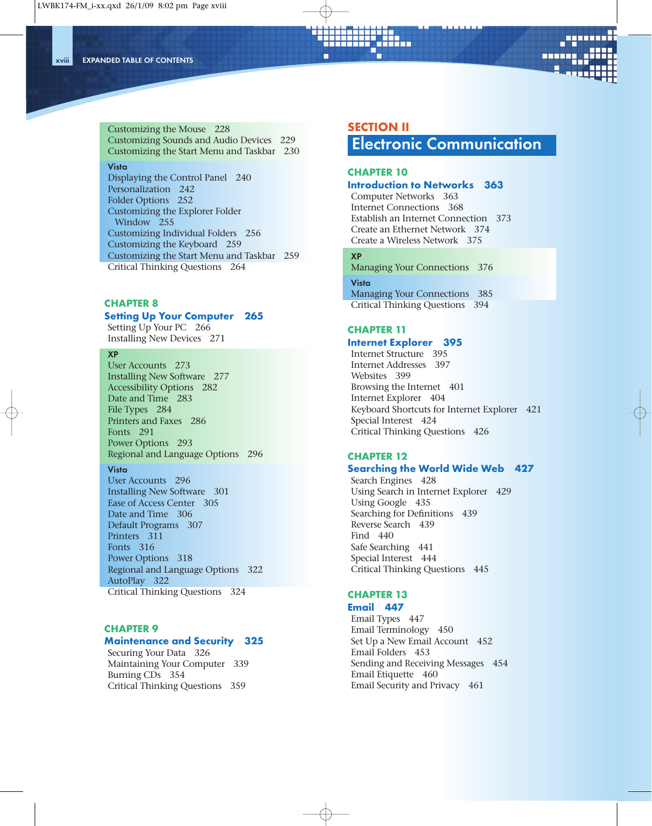**xviii EXPANDED TABLE OF CONTENTS**



Customizing the Mouse 228 Customizing Sounds and Audio Devices 229 Customizing the Start Menu and Taskbar 230

#### **Vista**

Displaying the Control Panel 240 Personalization 242 Folder Options 252 Customizing the Explorer Folder Window 255 Customizing Individual Folders 256 Customizing the Keyboard 259 Customizing the Start Menu and Taskbar 259 Critical Thinking Questions 264

### CHAPTER 8 Setting Up Your Computer 265

### Setting Up Your PC 266

Installing New Devices 271

#### **XP**

User Accounts 273 Installing New Software 277 Accessibility Options 282 Date and Time 283 File Types 284 Printers and Faxes 286 Fonts 291 Power Options 293 Regional and Language Options 296

#### **Vista**

User Accounts 296 Installing New Software 301 Ease of Access Center 305 Date and Time 306 Default Programs 307 Printers 311 Fonts 316 Power Options 318 Regional and Language Options 322 AutoPlay 322 Critical Thinking Questions 324

### CHAPTER 9

### Maintenance and Security 325

Securing Your Data 326 Maintaining Your Computer 339 Burning CDs 354 Critical Thinking Questions 359

### SECTION II

iiu

**Electronic Communication**

### CHAPTER 10

### Introduction to Networks 363

Computer Networks 363 Internet Connections 368 Establish an Internet Connection 373 Create an Ethernet Network 374 Create a Wireless Network 375

### **XP**

Managing Your Connections 376

**Vista** Managing Your Connections 385 Critical Thinking Questions 394

### CHAPTER 11

### Internet Explorer 395

Internet Structure 395 Internet Addresses 397 Websites 399 Browsing the Internet 401 Internet Explorer 404 Keyboard Shortcuts for Internet Explorer 421 Special Interest 424 Critical Thinking Questions 426

#### CHAPTER 12

### Searching the World Wide Web 427

Search Engines 428 Using Search in Internet Explorer 429 Using Google 435 Searching for Definitions 439 Reverse Search 439 Find 440 Safe Searching 441 Special Interest 444 Critical Thinking Questions 445

### CHAPTER 13

### Email 447

Email Types 447 Email Terminology 450 Set Up a New Email Account 452 Email Folders 453 Sending and Receiving Messages 454 Email Etiquette 460 Email Security and Privacy 461